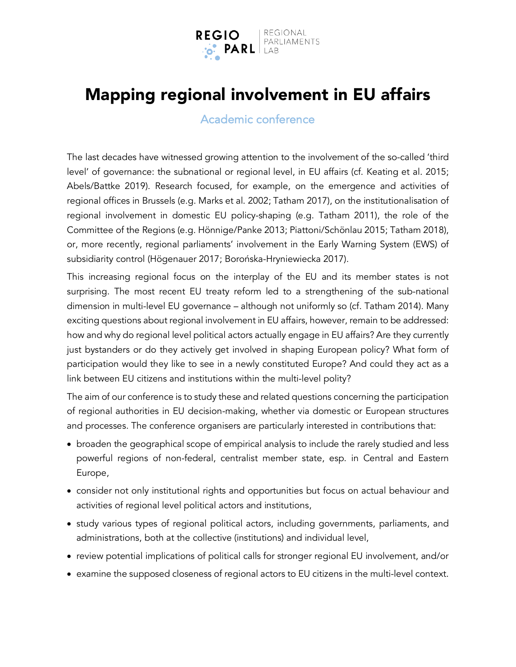

# Mapping regional involvement in EU affairs

### Academic conference

The last decades have witnessed growing attention to the involvement of the so-called 'third level' of governance: the subnational or regional level, in EU affairs (cf. Keating et al. 2015; Abels/Battke 2019). Research focused, for example, on the emergence and activities of regional offices in Brussels (e.g. Marks et al. 2002; Tatham 2017), on the institutionalisation of regional involvement in domestic EU policy-shaping (e.g. Tatham 2011), the role of the Committee of the Regions (e.g. Hönnige/Panke 2013; Piattoni/Schönlau 2015; Tatham 2018), or, more recently, regional parliaments' involvement in the Early Warning System (EWS) of subsidiarity control (Högenauer 2017; Borońska-Hryniewiecka 2017).

This increasing regional focus on the interplay of the EU and its member states is not surprising. The most recent EU treaty reform led to a strengthening of the sub-national dimension in multi-level EU governance – although not uniformly so (cf. Tatham 2014). Many exciting questions about regional involvement in EU affairs, however, remain to be addressed: how and why do regional level political actors actually engage in EU affairs? Are they currently just bystanders or do they actively get involved in shaping European policy? What form of participation would they like to see in a newly constituted Europe? And could they act as a link between EU citizens and institutions within the multi-level polity?

The aim of our conference is to study these and related questions concerning the participation of regional authorities in EU decision-making, whether via domestic or European structures and processes. The conference organisers are particularly interested in contributions that:

- broaden the geographical scope of empirical analysis to include the rarely studied and less powerful regions of non-federal, centralist member state, esp. in Central and Eastern Europe,
- consider not only institutional rights and opportunities but focus on actual behaviour and activities of regional level political actors and institutions,
- study various types of regional political actors, including governments, parliaments, and administrations, both at the collective (institutions) and individual level,
- review potential implications of political calls for stronger regional EU involvement, and/or
- examine the supposed closeness of regional actors to EU citizens in the multi-level context.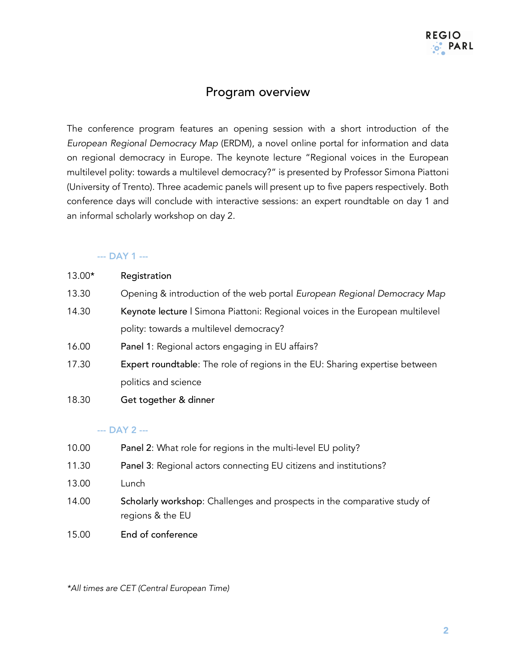### Program overview

The conference program features an opening session with a short introduction of the *European Regional Democracy Map* (ERDM), a novel online portal for information and data on regional democracy in Europe. The keynote lecture "Regional voices in the European multilevel polity: towards a multilevel democracy?" is presented by Professor Simona Piattoni (University of Trento). Three academic panels will present up to five papers respectively. Both conference days will conclude with interactive sessions: an expert roundtable on day 1 and an informal scholarly workshop on day 2.

#### --- DAY 1 ---

| 13.00* | Registration |
|--------|--------------|
|--------|--------------|

- 13.30 Opening & introduction of the web portal *European Regional Democracy Map*
- 14.30 Keynote lecture | Simona Piattoni: Regional voices in the European multilevel polity: towards a multilevel democracy?
- 16.00 Panel 1: Regional actors engaging in EU affairs?
- 17.30 Expert roundtable: The role of regions in the EU: Sharing expertise between politics and science
- 18.30 Get together & dinner

#### --- DAY 2 ---

- 10.00 Panel 2: What role for regions in the multi-level EU polity?
- 11.30 Panel 3: Regional actors connecting EU citizens and institutions?
- 13.00 Lunch
- 14.00 Scholarly workshop: Challenges and prospects in the comparative study of regions & the EU
- 15.00 End of conference

*\*All times are CET (Central European Time)*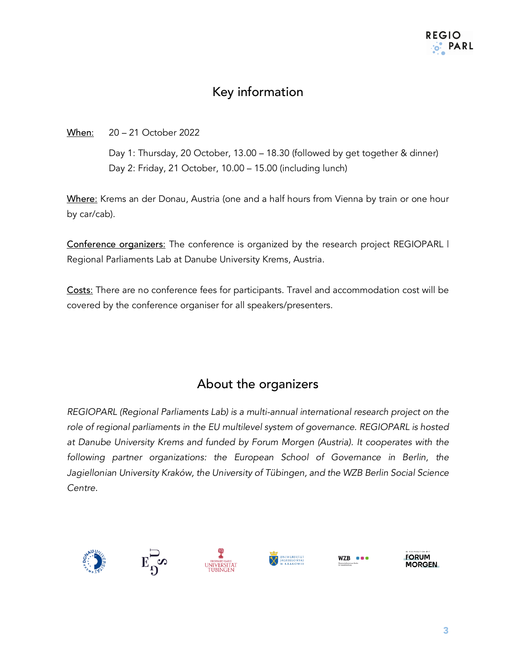# Key information

When: 20 – 21 October 2022

Day 1: Thursday, 20 October, 13.00 – 18.30 (followed by get together & dinner) Day 2: Friday, 21 October, 10.00 – 15.00 (including lunch)

Where: Krems an der Donau, Austria (one and a half hours from Vienna by train or one hour by car/cab).

Conference organizers: The conference is organized by the research project REGIOPARL I Regional Parliaments Lab at Danube University Krems, Austria.

Costs: There are no conference fees for participants. Travel and accommodation cost will be covered by the conference organiser for all speakers/presenters.

## About the organizers

*REGIOPARL (Regional Parliaments Lab) is a multi-annual international research project on the*  role of regional parliaments in the EU multilevel system of governance. REGIOPARL is hosted *at Danube University Krems and funded by Forum Morgen (Austria). It cooperates with the*  following partner organizations: the European School of Governance in Berlin, the *Jagiellonian University Kraków, the University of Tübingen, and the WZB Berlin Social Science Centre.*









WZB **eed** 

**FORUM MORGEN**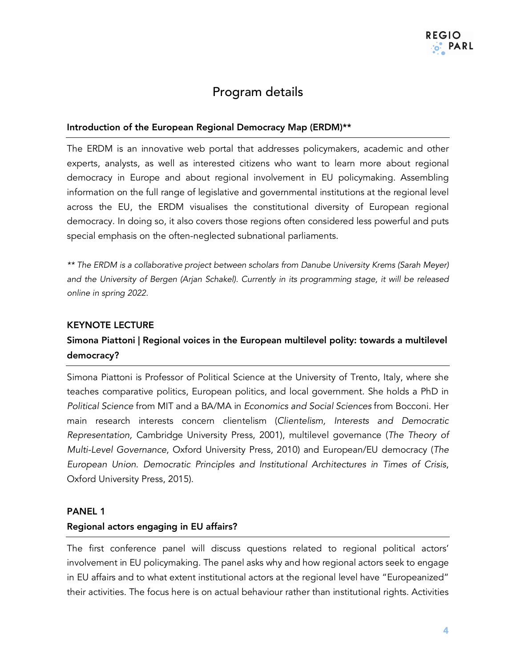### Program details

#### Introduction of the European Regional Democracy Map (ERDM)\*\*

The ERDM is an innovative web portal that addresses policymakers, academic and other experts, analysts, as well as interested citizens who want to learn more about regional democracy in Europe and about regional involvement in EU policymaking. Assembling information on the full range of legislative and governmental institutions at the regional level across the EU, the ERDM visualises the constitutional diversity of European regional democracy. In doing so, it also covers those regions often considered less powerful and puts special emphasis on the often-neglected subnational parliaments.

*\*\* The ERDM is a collaborative project between scholars from Danube University Krems (Sarah Meyer) and the University of Bergen (Arjan Schakel). Currently in its programming stage, it will be released online in spring 2022.*

#### KEYNOTE LECTURE

### Simona Piattoni | Regional voices in the European multilevel polity: towards a multilevel democracy?

Simona Piattoni is Professor of Political Science at the University of Trento, Italy, where she teaches comparative politics, European politics, and local government. She holds a PhD in *Political Science* from MIT and a BA/MA in *Economics and Social Sciences* from Bocconi. Her main research interests concern clientelism (*Clientelism, Interests and Democratic Representation,* Cambridge University Press, 2001), multilevel governance (*The Theory of Multi-Level Governance*, Oxford University Press, 2010) and European/EU democracy (*The European Union. Democratic Principles and Institutional Architectures in Times of Crisis*, Oxford University Press, 2015).

#### PANEL 1

#### Regional actors engaging in EU affairs?

The first conference panel will discuss questions related to regional political actors' involvement in EU policymaking. The panel asks why and how regional actors seek to engage in EU affairs and to what extent institutional actors at the regional level have "Europeanized" their activities. The focus here is on actual behaviour rather than institutional rights. Activities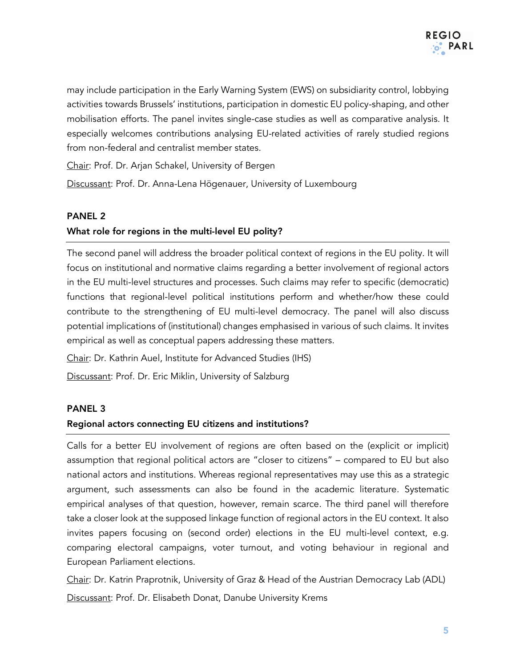

may include participation in the Early Warning System (EWS) on subsidiarity control, lobbying activities towards Brussels' institutions, participation in domestic EU policy-shaping, and other mobilisation efforts. The panel invites single-case studies as well as comparative analysis. It especially welcomes contributions analysing EU-related activities of rarely studied regions from non-federal and centralist member states.

Chair: Prof. Dr. Arjan Schakel, University of Bergen

Discussant: Prof. Dr. Anna-Lena Högenauer, University of Luxembourg

#### PANEL 2

#### What role for regions in the multi-level EU polity?

The second panel will address the broader political context of regions in the EU polity. It will focus on institutional and normative claims regarding a better involvement of regional actors in the EU multi-level structures and processes. Such claims may refer to specific (democratic) functions that regional-level political institutions perform and whether/how these could contribute to the strengthening of EU multi-level democracy. The panel will also discuss potential implications of (institutional) changes emphasised in various of such claims. It invites empirical as well as conceptual papers addressing these matters.

Chair: Dr. Kathrin Auel, Institute for Advanced Studies (IHS)

Discussant: Prof. Dr. Eric Miklin, University of Salzburg

#### PANEL 3

#### Regional actors connecting EU citizens and institutions?

Calls for a better EU involvement of regions are often based on the (explicit or implicit) assumption that regional political actors are "closer to citizens" – compared to EU but also national actors and institutions. Whereas regional representatives may use this as a strategic argument, such assessments can also be found in the academic literature. Systematic empirical analyses of that question, however, remain scarce. The third panel will therefore take a closer look at the supposed linkage function of regional actors in the EU context. It also invites papers focusing on (second order) elections in the EU multi-level context, e.g. comparing electoral campaigns, voter turnout, and voting behaviour in regional and European Parliament elections.

Chair: Dr. Katrin Praprotnik, University of Graz & Head of the Austrian Democracy Lab (ADL) Discussant: Prof. Dr. Elisabeth Donat, Danube University Krems